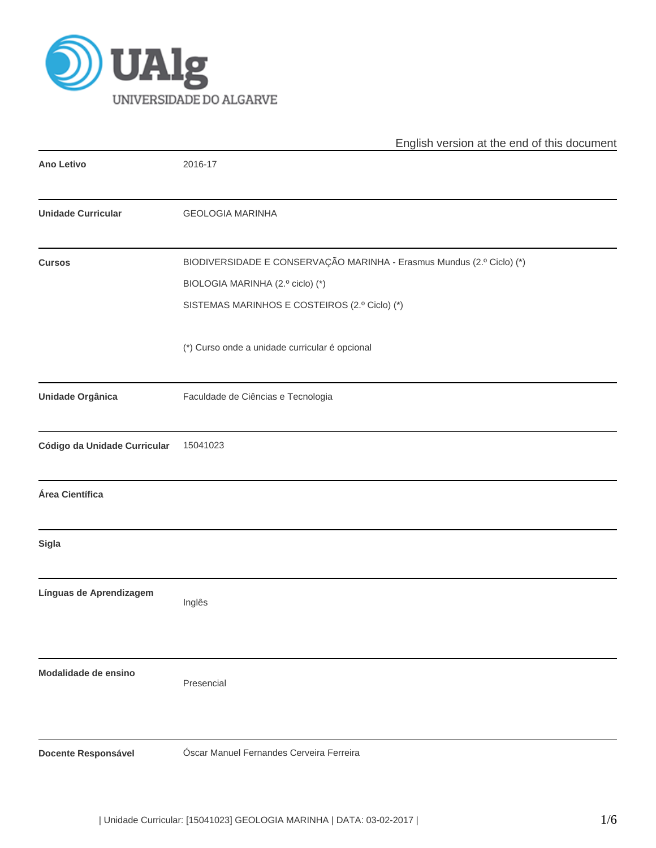

|                              | English version at the end of this document                           |
|------------------------------|-----------------------------------------------------------------------|
| <b>Ano Letivo</b>            | 2016-17                                                               |
| <b>Unidade Curricular</b>    | <b>GEOLOGIA MARINHA</b>                                               |
| <b>Cursos</b>                | BIODIVERSIDADE E CONSERVAÇÃO MARINHA - Erasmus Mundus (2.º Ciclo) (*) |
|                              | BIOLOGIA MARINHA (2.º ciclo) (*)                                      |
|                              | SISTEMAS MARINHOS E COSTEIROS (2.º Ciclo) (*)                         |
|                              | (*) Curso onde a unidade curricular é opcional                        |
| <b>Unidade Orgânica</b>      | Faculdade de Ciências e Tecnologia                                    |
| Código da Unidade Curricular | 15041023                                                              |
| Área Científica              |                                                                       |
| <b>Sigla</b>                 |                                                                       |
| Línguas de Aprendizagem      | Inglês                                                                |
| Modalidade de ensino         | Presencial                                                            |
| <b>Docente Responsável</b>   | Óscar Manuel Fernandes Cerveira Ferreira                              |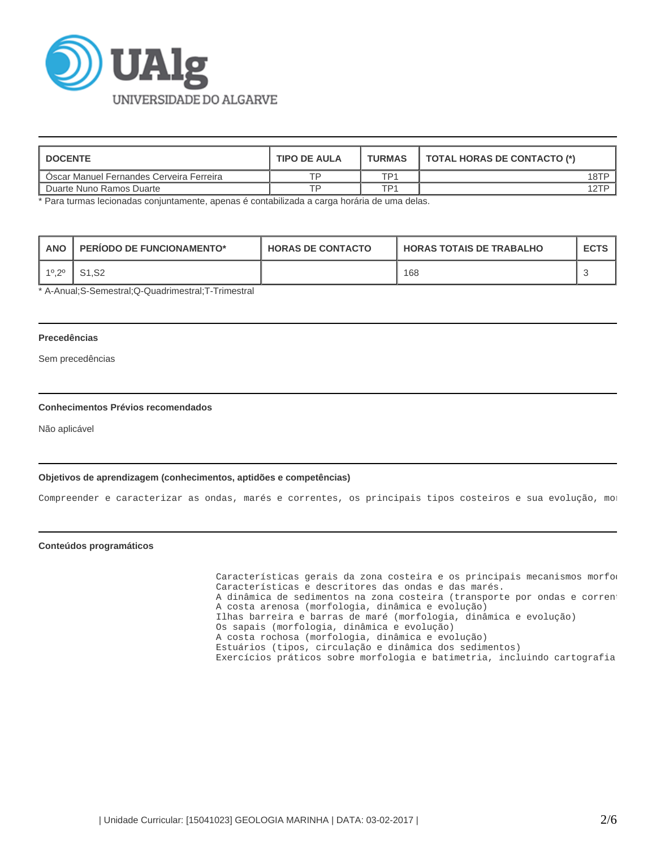

| <b>DOCENTE</b>                           | <b>TIPO DE AULA</b> | <b>TURMAS</b>   | TOTAL HORAS DE CONTACTO (*) |
|------------------------------------------|---------------------|-----------------|-----------------------------|
| Oscar Manuel Fernandes Cerveira Ferreira | TD                  | TD <sub>1</sub> | 18TP                        |
| Duarte Nuno Ramos Duarte                 | TP                  | TD1             | 12TP                        |

\* Para turmas lecionadas conjuntamente, apenas é contabilizada a carga horária de uma delas.

| <b>ANO</b> | <b>PERIODO DE FUNCIONAMENTO*</b> | <b>HORAS DE CONTACTO</b> | <b>HORAS TOTAIS DE TRABALHO</b> | <b>ECTS</b> |
|------------|----------------------------------|--------------------------|---------------------------------|-------------|
| 10 20      | S <sub>1.</sub> S <sub>2</sub>   |                          | 168                             |             |

\* A-Anual;S-Semestral;Q-Quadrimestral;T-Trimestral

## **Precedências**

Sem precedências

# **Conhecimentos Prévios recomendados**

Não aplicável

## **Objetivos de aprendizagem (conhecimentos, aptidões e competências)**

Compreender e caracterizar as ondas, marés e correntes, os principais tipos costeiros e sua evolução, mo:

### **Conteúdos programáticos**

Características gerais da zona costeira e os principais mecanismos morfod Características e descritores das ondas e das marés. A dinâmica de sedimentos na zona costeira (transporte por ondas e corrent A costa arenosa (morfologia, dinâmica e evolução) Ilhas barreira e barras de maré (morfologia, dinâmica e evolução) Os sapais (morfologia, dinâmica e evolução) A costa rochosa (morfologia, dinâmica e evolução) Estuários (tipos, circulação e dinâmica dos sedimentos) Exercícios práticos sobre morfologia e batimetria, incluindo cartografia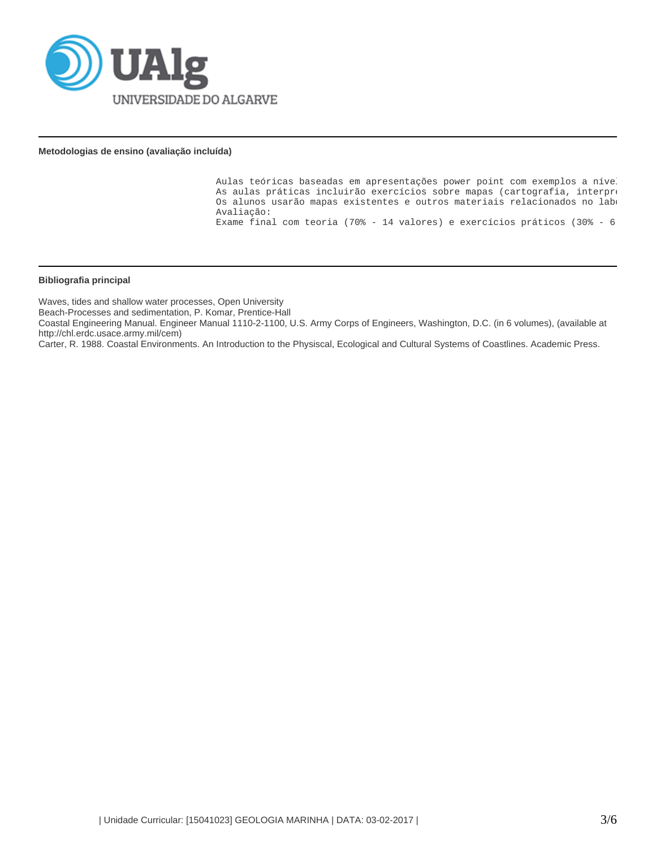

## **Metodologias de ensino (avaliação incluída)**

Aulas teóricas baseadas em apresentações power point com exemplos a nível As aulas práticas incluirão exercícios sobre mapas (cartografia, interpre Os alunos usarão mapas existentes e outros materiais relacionados no laboratório e DGPS para cartografia. Avaliação: Exame final com teoria (70% - 14 valores) e exercícios práticos (30% - 6

#### **Bibliografia principal**

Waves, tides and shallow water processes, Open University

Beach-Processes and sedimentation, P. Komar, Prentice-Hall

Coastal Engineering Manual. Engineer Manual 1110-2-1100, U.S. Army Corps of Engineers, Washington, D.C. (in 6 volumes), (available at http://chl.erdc.usace.army.mil/cem)

Carter, R. 1988. Coastal Environments. An Introduction to the Physiscal, Ecological and Cultural Systems of Coastlines. Academic Press.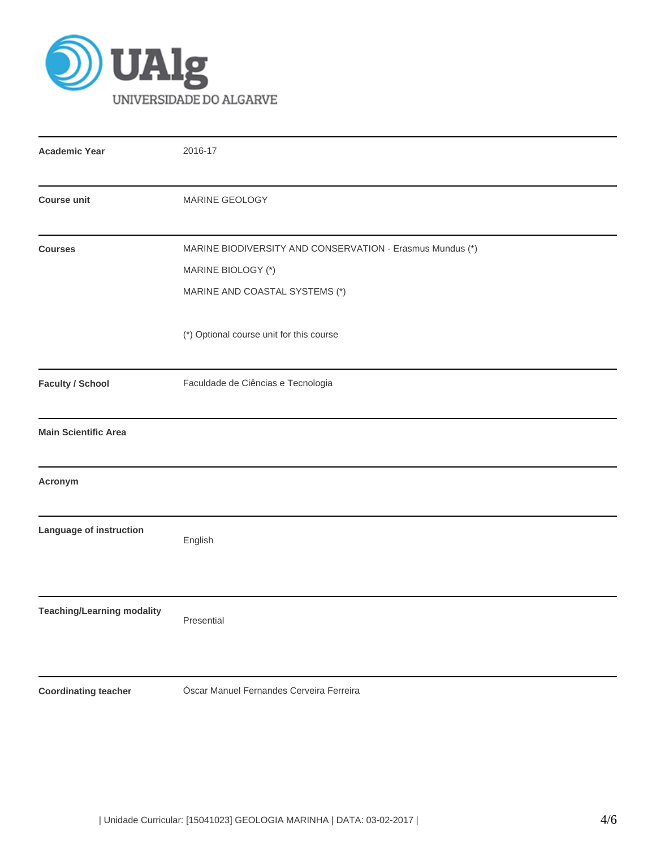

| <b>Academic Year</b>              | 2016-17                                                                                                           |  |  |  |  |
|-----------------------------------|-------------------------------------------------------------------------------------------------------------------|--|--|--|--|
| <b>Course unit</b>                | MARINE GEOLOGY                                                                                                    |  |  |  |  |
| <b>Courses</b>                    | MARINE BIODIVERSITY AND CONSERVATION - Erasmus Mundus (*)<br>MARINE BIOLOGY (*)<br>MARINE AND COASTAL SYSTEMS (*) |  |  |  |  |
|                                   | (*) Optional course unit for this course                                                                          |  |  |  |  |
| <b>Faculty / School</b>           | Faculdade de Ciências e Tecnologia                                                                                |  |  |  |  |
| <b>Main Scientific Area</b>       |                                                                                                                   |  |  |  |  |
| Acronym                           |                                                                                                                   |  |  |  |  |
| Language of instruction           | English                                                                                                           |  |  |  |  |
| <b>Teaching/Learning modality</b> | Presential                                                                                                        |  |  |  |  |
| <b>Coordinating teacher</b>       | Óscar Manuel Fernandes Cerveira Ferreira                                                                          |  |  |  |  |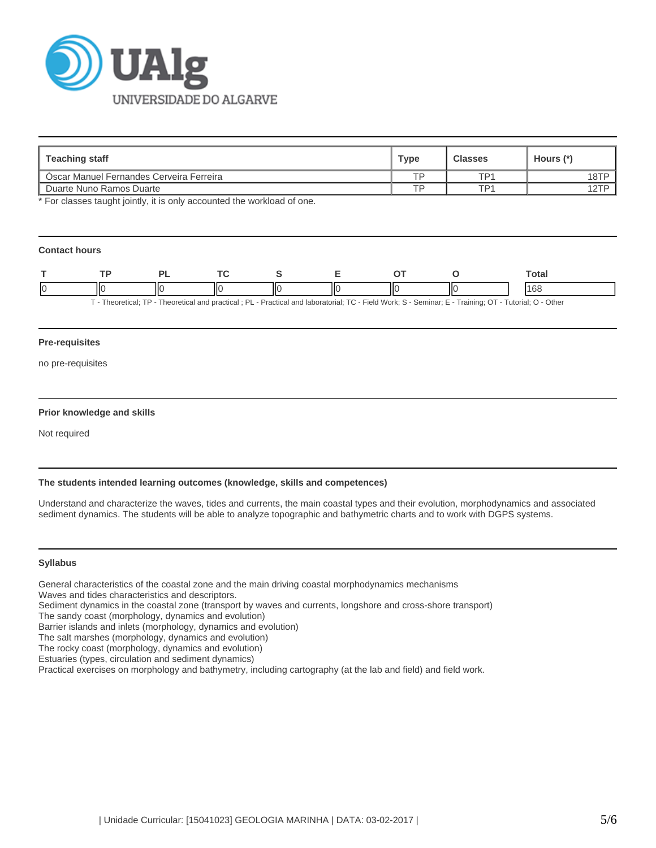

| Teaching staff                                  | Type | <b>Classes</b> | Hours (*) |
|-------------------------------------------------|------|----------------|-----------|
| <b>Oscar Manuel Fernandes Cerveira Ferreira</b> | тp   | TD1            | 18TP      |
| Duarte Nuno Ramos Duarte                        | TD.  | TP1            | 12TP      |

\* For classes taught jointly, it is only accounted the workload of one.

## **Contact hours**

| - |      |    |   |   |   |    |                       | ⊺otai<br>. |
|---|------|----|---|---|---|----|-----------------------|------------|
|   | ШC   | ШΟ |   |   | Ш | ШC |                       | u          |
|   | __ _ |    | . | . |   |    | ------------<br>_ _ _ |            |

T - Theoretical; TP - Theoretical and practical ; PL - Practical and laboratorial; TC - Field Work; S - Seminar; E - Training; OT - Tutorial; O - Other

### **Pre-requisites**

no pre-requisites

### **Prior knowledge and skills**

Not required

### **The students intended learning outcomes (knowledge, skills and competences)**

Understand and characterize the waves, tides and currents, the main coastal types and their evolution, morphodynamics and associated sediment dynamics. The students will be able to analyze topographic and bathymetric charts and to work with DGPS systems.

#### **Syllabus**

General characteristics of the coastal zone and the main driving coastal morphodynamics mechanisms

Waves and tides characteristics and descriptors.

Sediment dynamics in the coastal zone (transport by waves and currents, longshore and cross-shore transport)

The sandy coast (morphology, dynamics and evolution)

Barrier islands and inlets (morphology, dynamics and evolution)

The salt marshes (morphology, dynamics and evolution)

The rocky coast (morphology, dynamics and evolution)

Estuaries (types, circulation and sediment dynamics)

Practical exercises on morphology and bathymetry, including cartography (at the lab and field) and field work.